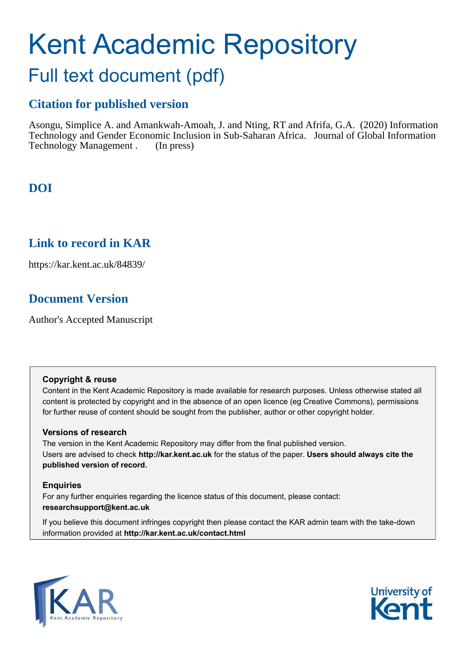# Kent Academic Repository

## Full text document (pdf)

## **Citation for published version**

Asongu, Simplice A. and Amankwah-Amoah, J. and Nting, RT and Afrifa, G.A. (2020) Information Technology and Gender Economic Inclusion in Sub-Saharan Africa. Journal of Global Information Technology Management . (In press)

## **DOI**

### **Link to record in KAR**

https://kar.kent.ac.uk/84839/

## **Document Version**

Author's Accepted Manuscript

#### **Copyright & reuse**

Content in the Kent Academic Repository is made available for research purposes. Unless otherwise stated all content is protected by copyright and in the absence of an open licence (eg Creative Commons), permissions for further reuse of content should be sought from the publisher, author or other copyright holder.

#### **Versions of research**

The version in the Kent Academic Repository may differ from the final published version. Users are advised to check **http://kar.kent.ac.uk** for the status of the paper. **Users should always cite the published version of record.**

#### **Enquiries**

For any further enquiries regarding the licence status of this document, please contact: **researchsupport@kent.ac.uk**

If you believe this document infringes copyright then please contact the KAR admin team with the take-down information provided at **http://kar.kent.ac.uk/contact.html**



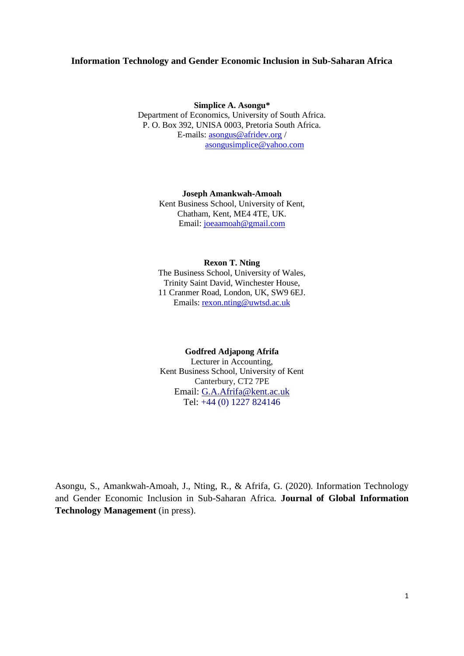#### **Information Technology and Gender Economic Inclusion in Sub-Saharan Africa**

**Simplice A. Asongu\*** Department of Economics, University of South Africa. P. O. Box 392, UNISA 0003, Pretoria South Africa. E-mails: [asongus@afridev.org](mailto:asongus@afridev.org) / [asongusimplice@yahoo.com](mailto:asongusimplice@yahoo.com)

> **Joseph Amankwah‐Amoah** Kent Business School, University of Kent, Chatham, Kent, ME4 4TE, UK. Email: [joeaamoah@gmail.com](mailto:joeaamoah@gmail.com)

#### **Rexon T. Nting**

The Business School, University of Wales, Trinity Saint David, Winchester House, 11 Cranmer Road, London, UK, SW9 6EJ. Emails: [rexon.nting@uwtsd.ac.uk](mailto:rexon.nting@uwtsd.ac.uk)

#### **Godfred Adjapong Afrifa**

Lecturer in Accounting, Kent Business School, University of Kent Canterbury, CT2 7PE Email: [G.A.Afrifa@kent.ac.uk](mailto:G.A.Tappenden@kent.ac.uk) Tel: +44 (0) 1227 824146

Asongu, S., Amankwah-Amoah, J., Nting, R., & Afrifa, G. (2020). Information Technology and Gender Economic Inclusion in Sub-Saharan Africa. **Journal of Global Information Technology Management** (in press).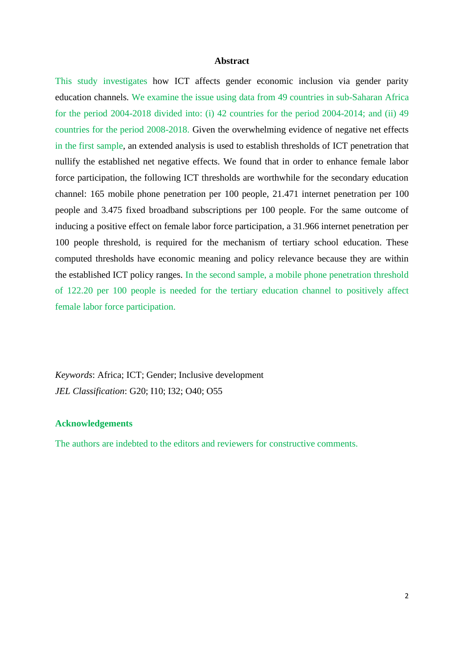#### **Abstract**

This study investigates how ICT affects gender economic inclusion via gender parity education channels. We examine the issue using data from 49 countries in sub-Saharan Africa for the period 2004-2018 divided into: (i) 42 countries for the period 2004-2014; and (ii) 49 countries for the period 2008-2018. Given the overwhelming evidence of negative net effects in the first sample, an extended analysis is used to establish thresholds of ICT penetration that nullify the established net negative effects. We found that in order to enhance female labor force participation, the following ICT thresholds are worthwhile for the secondary education channel: 165 mobile phone penetration per 100 people, 21.471 internet penetration per 100 people and 3.475 fixed broadband subscriptions per 100 people. For the same outcome of inducing a positive effect on female labor force participation, a 31.966 internet penetration per 100 people threshold, is required for the mechanism of tertiary school education. These computed thresholds have economic meaning and policy relevance because they are within the established ICT policy ranges. In the second sample, a mobile phone penetration threshold of 122.20 per 100 people is needed for the tertiary education channel to positively affect female labor force participation.

*Keywords*: Africa; ICT; Gender; Inclusive development *JEL Classification*: G20; I10; I32; O40; O55

#### **Acknowledgements**

The authors are indebted to the editors and reviewers for constructive comments.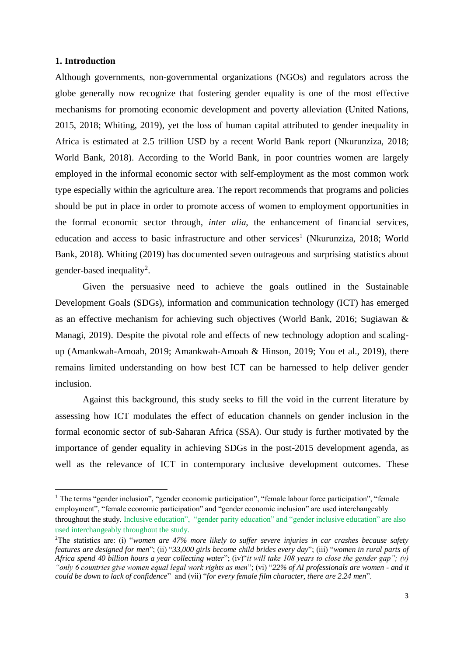#### **1. Introduction**

Although governments, non-governmental organizations (NGOs) and regulators across the globe generally now recognize that fostering gender equality is one of the most effective mechanisms for promoting economic development and poverty alleviation (United Nations, 2015, 2018; Whiting, 2019), yet the loss of human capital attributed to gender inequality in Africa is estimated at 2.5 trillion USD by a recent World Bank report (Nkurunziza, 2018; World Bank, 2018). According to the World Bank, in poor countries women are largely employed in the informal economic sector with self-employment as the most common work type especially within the agriculture area. The report recommends that programs and policies should be put in place in order to promote access of women to employment opportunities in the formal economic sector through, *inter alia*, the enhancement of financial services, education and access to basic infrastructure and other services<sup>1</sup> (Nkurunziza, 2018; World Bank, 2018). Whiting (2019) has documented seven outrageous and surprising statistics about gender-based inequality<sup>2</sup>.

Given the persuasive need to achieve the goals outlined in the Sustainable Development Goals (SDGs), information and communication technology (ICT) has emerged as an effective mechanism for achieving such objectives (World Bank, 2016; Sugiawan & Managi, 2019). Despite the pivotal role and effects of new technology adoption and scalingup (Amankwah-Amoah, 2019; Amankwah-Amoah & Hinson, 2019; You et al., 2019), there remains limited understanding on how best ICT can be harnessed to help deliver gender inclusion.

Against this background, this study seeks to fill the void in the current literature by assessing how ICT modulates the effect of education channels on gender inclusion in the formal economic sector of sub-Saharan Africa (SSA). Our study is further motivated by the importance of gender equality in achieving SDGs in the post-2015 development agenda, as well as the relevance of ICT in contemporary inclusive development outcomes. These

<sup>&</sup>lt;sup>1</sup> The terms "gender inclusion", "gender economic participation", "female labour force participation", "female employment", "female economic participation" and "gender economic inclusion" are used interchangeably throughout the study. Inclusive education", "gender parity education" and "gender inclusive education" are also used interchangeably throughout the study.

<sup>2</sup>The statistics are: (i) "*women are 47% more likely to suffer severe injuries in car crashes because safety features are designed for men*"; (ii) "*33,000 girls become child brides every day*"; (iii) "*women in rural parts of Africa spend 40 billion hours a year collecting water*"; (iv)"*it will take 108 years to close the gender gap"; (v) "only 6 countries give women equal legal work rights as men*"; (vi) "*22% of AI professionals are women - and it could be down to lack of confidence*" and (vii) "*for every female film character, there are 2.24 men*".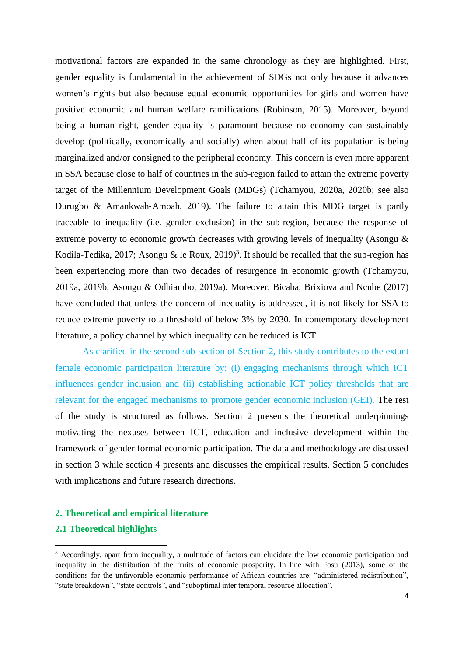motivational factors are expanded in the same chronology as they are highlighted. First, gender equality is fundamental in the achievement of SDGs not only because it advances women's rights but also because equal economic opportunities for girls and women have positive economic and human welfare ramifications (Robinson, 2015). Moreover, beyond being a human right, gender equality is paramount because no economy can sustainably develop (politically, economically and socially) when about half of its population is being marginalized and/or consigned to the peripheral economy. This concern is even more apparent in SSA because close to half of countries in the sub-region failed to attain the extreme poverty target of the Millennium Development Goals (MDGs) (Tchamyou, 2020a, 2020b; see also Durugbo & Amankwah-Amoah, 2019). The failure to attain this MDG target is partly traceable to inequality (i.e. gender exclusion) in the sub-region, because the response of extreme poverty to economic growth decreases with growing levels of inequality (Asongu & Kodila-Tedika, 2017; Asongu & le Roux, 2019)<sup>3</sup>. It should be recalled that the sub-region has been experiencing more than two decades of resurgence in economic growth (Tchamyou, 2019a, 2019b; Asongu & Odhiambo, 2019a). Moreover, Bicaba, Brixiova and Ncube (2017) have concluded that unless the concern of inequality is addressed, it is not likely for SSA to reduce extreme poverty to a threshold of below 3% by 2030. In contemporary development literature, a policy channel by which inequality can be reduced is ICT.

As clarified in the second sub-section of Section 2, this study contributes to the extant female economic participation literature by: (i) engaging mechanisms through which ICT influences gender inclusion and (ii) establishing actionable ICT policy thresholds that are relevant for the engaged mechanisms to promote gender economic inclusion (GEI). The rest of the study is structured as follows. Section 2 presents the theoretical underpinnings motivating the nexuses between ICT, education and inclusive development within the framework of gender formal economic participation. The data and methodology are discussed in section 3 while section 4 presents and discusses the empirical results. Section 5 concludes with implications and future research directions.

#### **2. Theoretical and empirical literature**

#### **2.1 Theoretical highlights**

<sup>&</sup>lt;sup>3</sup> Accordingly, apart from inequality, a multitude of factors can elucidate the low economic participation and inequality in the distribution of the fruits of economic prosperity. In line with Fosu (2013), some of the conditions for the unfavorable economic performance of African countries are: "administered redistribution", "state breakdown", "state controls", and "suboptimal inter temporal resource allocation".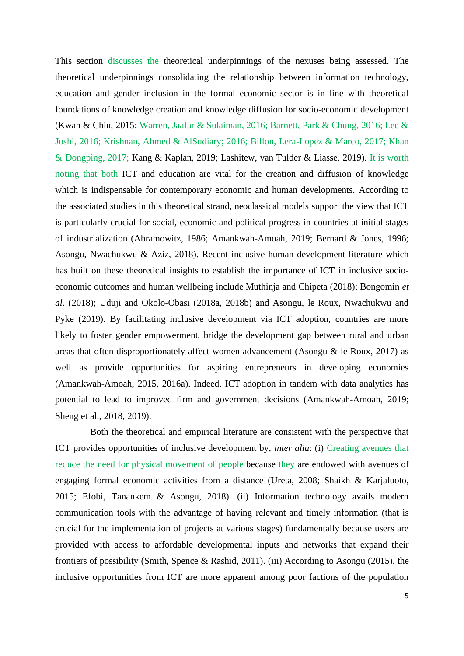This section discusses the theoretical underpinnings of the nexuses being assessed. The theoretical underpinnings consolidating the relationship between information technology, education and gender inclusion in the formal economic sector is in line with theoretical foundations of knowledge creation and knowledge diffusion for socio-economic development (Kwan & Chiu, 2015; Warren, Jaafar & Sulaiman, 2016; Barnett, Park & Chung, 2016; Lee & Joshi, 2016; Krishnan, Ahmed & AlSudiary; 2016; Billon, Lera-Lopez & Marco, 2017; Khan & Dongping, 2017; Kang & Kaplan, 2019; Lashitew, van Tulder & Liasse, 2019). It is worth noting that both ICT and education are vital for the creation and diffusion of knowledge which is indispensable for contemporary economic and human developments. According to the associated studies in this theoretical strand, neoclassical models support the view that ICT is particularly crucial for social, economic and political progress in countries at initial stages of industrialization (Abramowitz, 1986; Amankwah-Amoah, 2019; Bernard & Jones, 1996; Asongu, Nwachukwu & Aziz*,* 2018). Recent inclusive human development literature which has built on these theoretical insights to establish the importance of ICT in inclusive socioeconomic outcomes and human wellbeing include Muthinja and Chipeta (2018); Bongomin *et al*. (2018); Uduji and Okolo-Obasi (2018a, 2018b) and Asongu, le Roux, Nwachukwu and Pyke (2019). By facilitating inclusive development via ICT adoption, countries are more likely to foster gender empowerment, bridge the development gap between rural and urban areas that often disproportionately affect women advancement (Asongu & le Roux, 2017) as well as provide opportunities for aspiring entrepreneurs in developing economies (Amankwah-Amoah, 2015, 2016a). Indeed, ICT adoption in tandem with data analytics has potential to lead to improved firm and government decisions (Amankwah-Amoah, 2019; Sheng et al., 2018, 2019).

 Both the theoretical and empirical literature are consistent with the perspective that ICT provides opportunities of inclusive development by, *inter alia*: (i) Creating avenues that reduce the need for physical movement of people because they are endowed with avenues of engaging formal economic activities from a distance (Ureta, 2008; Shaikh & Karjaluoto, 2015; Efobi, Tanankem & Asongu, 2018). (ii) Information technology avails modern communication tools with the advantage of having relevant and timely information (that is crucial for the implementation of projects at various stages) fundamentally because users are provided with access to affordable developmental inputs and networks that expand their frontiers of possibility (Smith*,* Spence & Rashid, 2011). (iii) According to Asongu (2015), the inclusive opportunities from ICT are more apparent among poor factions of the population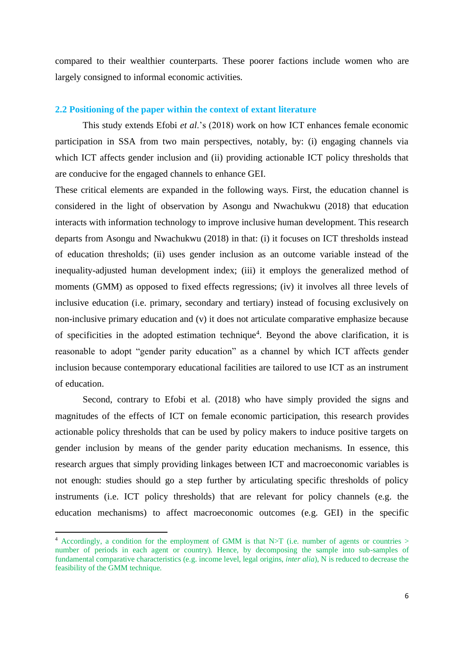compared to their wealthier counterparts. These poorer factions include women who are largely consigned to informal economic activities.

#### **2.2 Positioning of the paper within the context of extant literature**

This study extends Efobi *et al*.'s (2018) work on how ICT enhances female economic participation in SSA from two main perspectives, notably, by: (i) engaging channels via which ICT affects gender inclusion and (ii) providing actionable ICT policy thresholds that are conducive for the engaged channels to enhance GEI.

These critical elements are expanded in the following ways. First, the education channel is considered in the light of observation by Asongu and Nwachukwu (2018) that education interacts with information technology to improve inclusive human development. This research departs from Asongu and Nwachukwu (2018) in that: (i) it focuses on ICT thresholds instead of education thresholds; (ii) uses gender inclusion as an outcome variable instead of the inequality-adjusted human development index; (iii) it employs the generalized method of moments (GMM) as opposed to fixed effects regressions; (iv) it involves all three levels of inclusive education (i.e. primary, secondary and tertiary) instead of focusing exclusively on non-inclusive primary education and (v) it does not articulate comparative emphasize because of specificities in the adopted estimation technique<sup>4</sup>. Beyond the above clarification, it is reasonable to adopt "gender parity education" as a channel by which ICT affects gender inclusion because contemporary educational facilities are tailored to use ICT as an instrument of education.

Second, contrary to Efobi et al. (2018) who have simply provided the signs and magnitudes of the effects of ICT on female economic participation, this research provides actionable policy thresholds that can be used by policy makers to induce positive targets on gender inclusion by means of the gender parity education mechanisms. In essence, this research argues that simply providing linkages between ICT and macroeconomic variables is not enough: studies should go a step further by articulating specific thresholds of policy instruments (i.e. ICT policy thresholds) that are relevant for policy channels (e.g. the education mechanisms) to affect macroeconomic outcomes (e.g. GEI) in the specific

<sup>4</sup> Accordingly, a condition for the employment of GMM is that N>T (i.e. number of agents or countries > number of periods in each agent or country). Hence, by decomposing the sample into sub-samples of fundamental comparative characteristics (e.g. income level, legal origins, *inter alia*), N is reduced to decrease the feasibility of the GMM technique.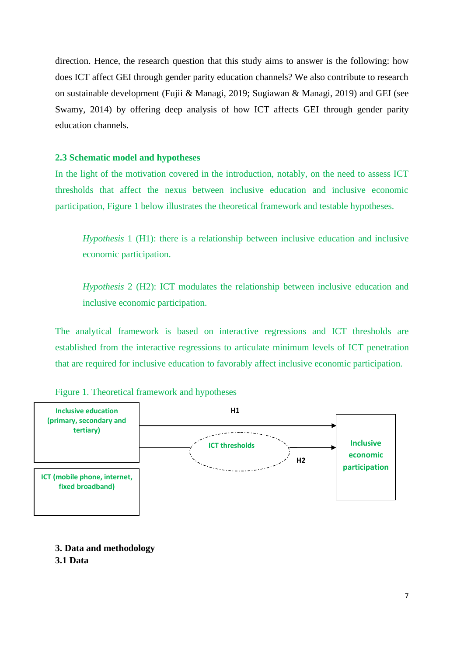direction. Hence, the research question that this study aims to answer is the following: how does ICT affect GEI through gender parity education channels? We also contribute to research on sustainable development (Fujii & Managi, 2019; Sugiawan & Managi, 2019) and GEI (see Swamy, 2014) by offering deep analysis of how ICT affects GEI through gender parity education channels.

#### **2.3 Schematic model and hypotheses**

In the light of the motivation covered in the introduction, notably, on the need to assess ICT thresholds that affect the nexus between inclusive education and inclusive economic participation, Figure 1 below illustrates the theoretical framework and testable hypotheses.

*Hypothesis* 1 (H1): there is a relationship between inclusive education and inclusive economic participation.

*Hypothesis* 2 (H2): ICT modulates the relationship between inclusive education and inclusive economic participation.

The analytical framework is based on interactive regressions and ICT thresholds are established from the interactive regressions to articulate minimum levels of ICT penetration that are required for inclusive education to favorably affect inclusive economic participation.





**3. Data and methodology**

#### **3.1 Data**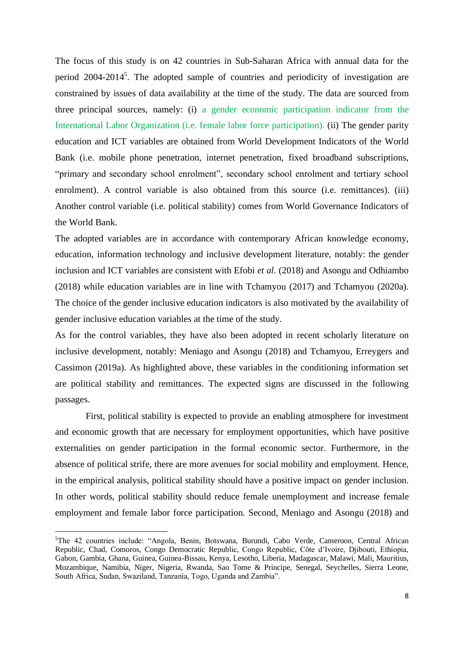The focus of this study is on 42 countries in Sub-Saharan Africa with annual data for the period 2004-2014<sup>5</sup>. The adopted sample of countries and periodicity of investigation are constrained by issues of data availability at the time of the study. The data are sourced from three principal sources, namely: (i) a gender economic participation indicator from the International Labor Organization (i.e. female labor force participation). (ii) The gender parity education and ICT variables are obtained from World Development Indicators of the World Bank (i.e. mobile phone penetration, internet penetration, fixed broadband subscriptions, "primary and secondary school enrolment", secondary school enrolment and tertiary school enrolment). A control variable is also obtained from this source (i.e. remittances). (iii) Another control variable (i.e. political stability) comes from World Governance Indicators of the World Bank.

The adopted variables are in accordance with contemporary African knowledge economy, education, information technology and inclusive development literature, notably: the gender inclusion and ICT variables are consistent with Efobi *et al*. (2018) and Asongu and Odhiambo (2018) while education variables are in line with Tchamyou (2017) and Tchamyou (2020a). The choice of the gender inclusive education indicators is also motivated by the availability of gender inclusive education variables at the time of the study.

As for the control variables, they have also been adopted in recent scholarly literature on inclusive development, notably: Meniago and Asongu (2018) and Tchamyou, Erreygers and Cassimon (2019a). As highlighted above, these variables in the conditioning information set are political stability and remittances. The expected signs are discussed in the following passages.

 First, political stability is expected to provide an enabling atmosphere for investment and economic growth that are necessary for employment opportunities, which have positive externalities on gender participation in the formal economic sector. Furthermore, in the absence of political strife, there are more avenues for social mobility and employment. Hence, in the empirical analysis, political stability should have a positive impact on gender inclusion. In other words, political stability should reduce female unemployment and increase female employment and female labor force participation. Second, Meniago and Asongu (2018) and

<sup>5</sup>The 42 countries include: "Angola, Benin, Botswana, Burundi, Cabo Verde, Cameroon, Central African Republic, Chad, Comoros, Congo Democratic Republic, Congo Republic, Côte d'Ivoire, Djibouti, Ethiopia, Gabon, Gambia, Ghana, Guinea, Guinea-Bissau, Kenya, Lesotho, Liberia, Madagascar, Malawi, Mali, Mauritius, Mozambique, Namibia, Niger, Nigeria, Rwanda, Sao Tome & Principe, Senegal, Seychelles, Sierra Leone, South Africa, Sudan, Swaziland, Tanzania, Togo, Uganda and Zambia".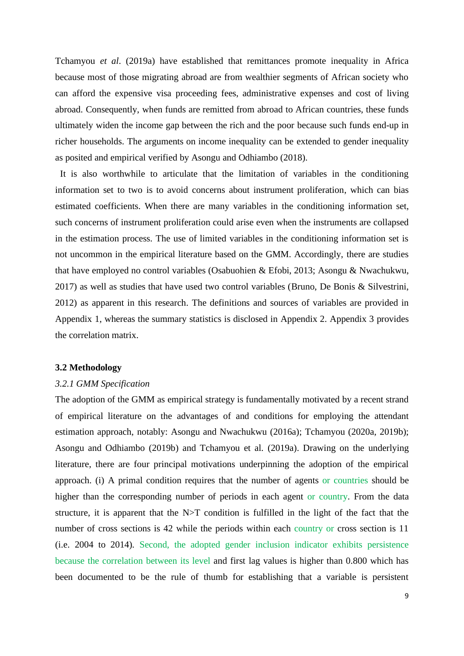Tchamyou *et al*. (2019a) have established that remittances promote inequality in Africa because most of those migrating abroad are from wealthier segments of African society who can afford the expensive visa proceeding fees, administrative expenses and cost of living abroad. Consequently, when funds are remitted from abroad to African countries, these funds ultimately widen the income gap between the rich and the poor because such funds end-up in richer households. The arguments on income inequality can be extended to gender inequality as posited and empirical verified by Asongu and Odhiambo (2018).

It is also worthwhile to articulate that the limitation of variables in the conditioning information set to two is to avoid concerns about instrument proliferation, which can bias estimated coefficients. When there are many variables in the conditioning information set, such concerns of instrument proliferation could arise even when the instruments are collapsed in the estimation process. The use of limited variables in the conditioning information set is not uncommon in the empirical literature based on the GMM. Accordingly, there are studies that have employed no control variables (Osabuohien & Efobi, 2013; Asongu & Nwachukwu, 2017) as well as studies that have used two control variables (Bruno, De Bonis & Silvestrini, 2012) as apparent in this research. The definitions and sources of variables are provided in Appendix 1, whereas the summary statistics is disclosed in Appendix 2. Appendix 3 provides the correlation matrix.

#### **3.2 Methodology**

#### *3.2.1 GMM Specification*

The adoption of the GMM as empirical strategy is fundamentally motivated by a recent strand of empirical literature on the advantages of and conditions for employing the attendant estimation approach, notably: Asongu and Nwachukwu (2016a); Tchamyou (2020a, 2019b); Asongu and Odhiambo (2019b) and Tchamyou et al. (2019a). Drawing on the underlying literature, there are four principal motivations underpinning the adoption of the empirical approach. (i) A primal condition requires that the number of agents or countries should be higher than the corresponding number of periods in each agent or country. From the data structure, it is apparent that the N>T condition is fulfilled in the light of the fact that the number of cross sections is 42 while the periods within each country or cross section is 11 (i.e. 2004 to 2014). Second, the adopted gender inclusion indicator exhibits persistence because the correlation between its level and first lag values is higher than 0.800 which has been documented to be the rule of thumb for establishing that a variable is persistent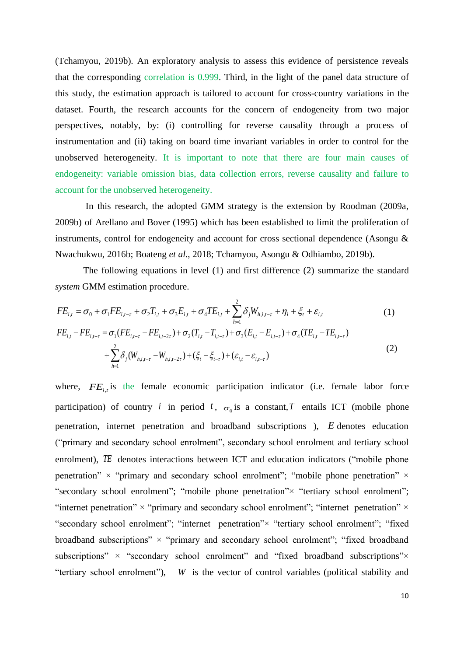(Tchamyou, 2019b). An exploratory analysis to assess this evidence of persistence reveals that the corresponding correlation is 0.999. Third, in the light of the panel data structure of this study, the estimation approach is tailored to account for cross-country variations in the dataset. Fourth, the research accounts for the concern of endogeneity from two major perspectives, notably, by: (i) controlling for reverse causality through a process of instrumentation and (ii) taking on board time invariant variables in order to control for the unobserved heterogeneity. It is important to note that there are four main causes of endogeneity: variable omission bias, data collection errors, reverse causality and failure to account for the unobserved heterogeneity.

 In this research, the adopted GMM strategy is the extension by Roodman (2009a, 2009b) of Arellano and Bover (1995) which has been established to limit the proliferation of instruments, control for endogeneity and account for cross sectional dependence (Asongu & Nwachukwu, 2016b; Boateng *et al*., 2018; Tchamyou, Asongu & Odhiambo, 2019b).

The following equations in level (1) and first difference (2) summarize the standard *system* GMM estimation procedure.

$$
FE_{i,t} = \sigma_0 + \sigma_1 FE_{i,t-\tau} + \sigma_2 T_{i,t} + \sigma_3 E_{i,t} + \sigma_4 TE_{i,t} + \sum_{h=1}^2 \delta_j W_{h,i,t-\tau} + \eta_i + \xi_t + \varepsilon_{i,t}
$$
(1)  
\n
$$
FE_{i,t} - FE_{i,t-\tau} = \sigma_1 (FE_{i,t-\tau} - FE_{i,t-2\tau}) + \sigma_2 (T_{i,t} - T_{i,t-\tau}) + \sigma_3 (E_{i,t} - E_{i,t-\tau}) + \sigma_4 (TE_{i,t} - TE_{i,t-\tau})
$$
  
\n
$$
+ \sum_{h=1}^2 \delta_j (W_{h,i,t-\tau} - W_{h,i,t-2\tau}) + (\xi_t - \xi_{t-\tau}) + (\varepsilon_{i,t} - \varepsilon_{i,t-\tau})
$$
(2)

where,  $FE_{i,t}$  is the female economic participation indicator (i.e. female labor force participation) of country *i* in period *t*,  $\sigma_0$  is a constant, *T* entails ICT (mobile phone penetration, internet penetration and broadband subscriptions ), *E* denotes education ("primary and secondary school enrolment", secondary school enrolment and tertiary school enrolment), TE denotes interactions between ICT and education indicators ("mobile phone penetration"  $\times$  "primary and secondary school enrolment"; "mobile phone penetration"  $\times$ "secondary school enrolment"; "mobile phone penetration"× "tertiary school enrolment"; "internet penetration"  $\times$  "primary and secondary school enrolment"; "internet penetration"  $\times$ "secondary school enrolment"; "internet penetration"× "tertiary school enrolment"; "fixed broadband subscriptions"  $\times$  "primary and secondary school enrolment"; "fixed broadband subscriptions" × "secondary school enrolment" and "fixed broadband subscriptions"× "tertiary school enrolment"), *W* is the vector of control variables (political stability and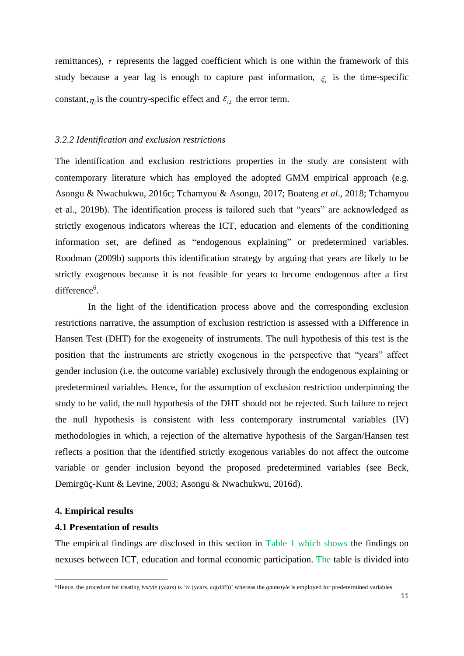remittances),  $\tau$  represents the lagged coefficient which is one within the framework of this study because a year lag is enough to capture past information,  $\xi$  is the time-specific constant,  $\eta_i$  is the country-specific effect and  $\varepsilon_{i,t}$  the error term.

#### *3.2.2 Identification and exclusion restrictions*

The identification and exclusion restrictions properties in the study are consistent with contemporary literature which has employed the adopted GMM empirical approach (e.g. Asongu & Nwachukwu, 2016c; Tchamyou & Asongu, 2017; Boateng *et al*., 2018; Tchamyou et al., 2019b). The identification process is tailored such that "years" are acknowledged as strictly exogenous indicators whereas the ICT, education and elements of the conditioning information set, are defined as "endogenous explaining" or predetermined variables. Roodman (2009b) supports this identification strategy by arguing that years are likely to be strictly exogenous because it is not feasible for years to become endogenous after a first difference<sup>6</sup>.

 In the light of the identification process above and the corresponding exclusion restrictions narrative, the assumption of exclusion restriction is assessed with a Difference in Hansen Test (DHT) for the exogeneity of instruments. The null hypothesis of this test is the position that the instruments are strictly exogenous in the perspective that "years" affect gender inclusion (i.e. the outcome variable) exclusively through the endogenous explaining or predetermined variables. Hence, for the assumption of exclusion restriction underpinning the study to be valid, the null hypothesis of the DHT should not be rejected. Such failure to reject the null hypothesis is consistent with less contemporary instrumental variables (IV) methodologies in which, a rejection of the alternative hypothesis of the Sargan/Hansen test reflects a position that the identified strictly exogenous variables do not affect the outcome variable or gender inclusion beyond the proposed predetermined variables (see Beck, Demirgüç-Kunt & Levine, 2003; Asongu & Nwachukwu, 2016d).

#### **4. Empirical results**

#### **4.1 Presentation of results**

The empirical findings are disclosed in this section in Table 1 which shows the findings on nexuses between ICT, education and formal economic participation. The table is divided into

<sup>&</sup>lt;sup>6</sup>Hence, the procedure for treating *ivstyle* (years) is 'iv (years, eq(diff))' whereas the *gmmstyle* is employed for predetermined variables.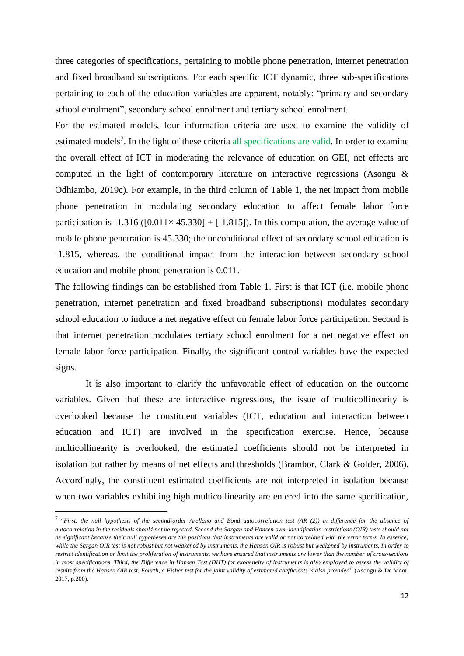three categories of specifications, pertaining to mobile phone penetration, internet penetration and fixed broadband subscriptions. For each specific ICT dynamic, three sub-specifications pertaining to each of the education variables are apparent, notably: "primary and secondary school enrolment", secondary school enrolment and tertiary school enrolment.

For the estimated models, four information criteria are used to examine the validity of estimated models<sup>7</sup>. In the light of these criteria all specifications are valid. In order to examine the overall effect of ICT in moderating the relevance of education on GEI, net effects are computed in the light of contemporary literature on interactive regressions (Asongu & Odhiambo, 2019c). For example, in the third column of Table 1, the net impact from mobile phone penetration in modulating secondary education to affect female labor force participation is -1.316 ( $[0.011 \times 45.330] + [-1.815]$ ). In this computation, the average value of mobile phone penetration is 45.330; the unconditional effect of secondary school education is -1.815, whereas, the conditional impact from the interaction between secondary school education and mobile phone penetration is 0.011.

The following findings can be established from Table 1. First is that ICT (i.e. mobile phone penetration, internet penetration and fixed broadband subscriptions) modulates secondary school education to induce a net negative effect on female labor force participation. Second is that internet penetration modulates tertiary school enrolment for a net negative effect on female labor force participation. Finally, the significant control variables have the expected signs.

 It is also important to clarify the unfavorable effect of education on the outcome variables. Given that these are interactive regressions, the issue of multicollinearity is overlooked because the constituent variables (ICT, education and interaction between education and ICT) are involved in the specification exercise. Hence, because multicollinearity is overlooked, the estimated coefficients should not be interpreted in isolation but rather by means of net effects and thresholds (Brambor, Clark & Golder, 2006). Accordingly, the constituent estimated coefficients are not interpreted in isolation because when two variables exhibiting high multicollinearity are entered into the same specification,

<sup>7</sup> "*First, the null hypothesis of the second-order Arellano and Bond autocorrelation test (AR (2)) in difference for the absence of autocorrelation in the residuals should not be rejected. Second the Sargan and Hansen over-identification restrictions (OIR) tests should not be significant because their null hypotheses are the positions that instruments are valid or not correlated with the error terms. In essence, while the Sargan OIR test is not robust but not weakened by instruments, the Hansen OIR is robust but weakened by instruments. In order to restrict identification or limit the proliferation of instruments, we have ensured that instruments are lower than the number of cross-sections in most specifications. Third, the Difference in Hansen Test (DHT) for exogeneity of instruments is also employed to assess the validity of results from the Hansen OIR test. Fourth, a Fisher test for the joint validity of estimated coefficients is also provided*" (Asongu & De Moor, 2017, p.200).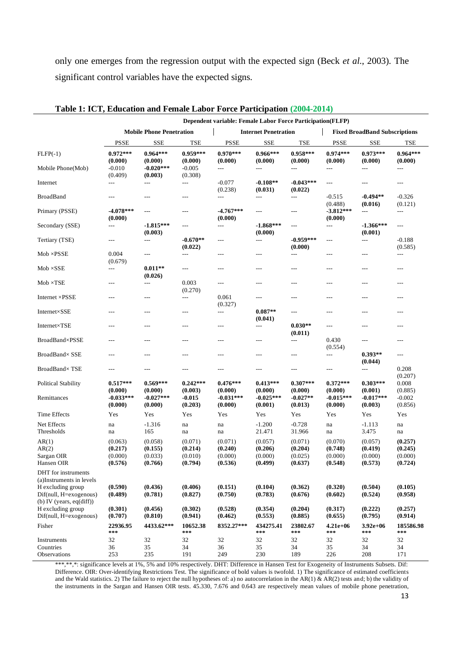only one emerges from the regression output with the expected sign (Beck *et al*., 2003). The significant control variables have the expected signs.

| Dependent variable: Female Labor Force Participation(FLFP)                 |                                 |                        |                       |                          |                             |                        |                                      |                        |                       |  |
|----------------------------------------------------------------------------|---------------------------------|------------------------|-----------------------|--------------------------|-----------------------------|------------------------|--------------------------------------|------------------------|-----------------------|--|
|                                                                            | <b>Mobile Phone Penetration</b> |                        |                       |                          | <b>Internet Penetration</b> |                        | <b>Fixed BroadBand Subscriptions</b> |                        |                       |  |
|                                                                            | <b>PSSE</b>                     | <b>SSE</b>             | <b>TSE</b>            | <b>PSSE</b>              | <b>SSE</b>                  | <b>TSE</b>             | <b>PSSE</b>                          | <b>SSE</b>             | TSE                   |  |
| $FLFP(-1)$                                                                 | $0.972***$<br>(0.000)           | $0.964***$<br>(0.000)  | $0.959***$<br>(0.000) | $0.970***$<br>(0.000)    | $0.966***$<br>(0.000)       | $0.958***$<br>(0.000)  | $0.974***$<br>(0.000)                | $0.973***$<br>(0.000)  | $0.964***$<br>(0.000) |  |
| Mobile Phone(Mob)                                                          | $-0.010$<br>(0.409)             | $-0.020***$<br>(0.003) | $-0.005$<br>(0.308)   | $---$                    | ---                         | $---$                  | ---                                  | ---                    | $\overline{a}$        |  |
| Internet                                                                   | $---$                           | $---$                  | $\overline{a}$        | $-0.077$<br>(0.238)      | $-0.108**$<br>(0.031)       | $-0.043***$<br>(0.022) | $\scriptstyle\cdots$                 | ---                    | $\qquad \qquad - -$   |  |
| <b>BroadBand</b>                                                           | $\qquad \qquad - -$             | $---$                  | $---$                 | $---$                    | $---$                       | $---$                  | $-0.515$<br>(0.488)                  | $-0.494**$<br>(0.016)  | $-0.326$<br>(0.121)   |  |
| Primary (PSSE)                                                             | $-4.078***$<br>(0.000)          | $---$                  | ---                   | $-4.767***$<br>(0.000)   | $\cdots$                    | $---$                  | $-3.812***$<br>(0.000)               | ---                    | $\cdots$              |  |
| Secondary (SSE)                                                            | $\overline{\phantom{a}}$        | $-1.815***$<br>(0.003) | $\overline{a}$        | $\overline{\phantom{a}}$ | $-1.868***$<br>(0.000)      | $\overline{a}$         | $\overline{a}$                       | $-1.366***$<br>(0.001) | $\overline{a}$        |  |
| Tertiary (TSE)                                                             | $\qquad \qquad - -$             | $\overline{a}$         | $-0.670**$<br>(0.022) | $---$                    | ---                         | $-0.959***$<br>(0.000) | ---                                  | $---$                  | $-0.188$<br>(0.585)   |  |
| $Mob \times PSSE$                                                          | 0.004<br>(0.679)                | ---                    | $---$                 | ---                      | $---$                       | $---$                  | ---                                  | ---                    | $\qquad \qquad - -$   |  |
| $Mob \times SSE$                                                           | $\overline{\phantom{a}}$        | $0.011**$<br>(0.026)   | $\overline{a}$        | $---$                    | $---$                       | $---$                  | ---                                  | $\overline{a}$         | $---$                 |  |
| $Mob \times TSE$                                                           | $---$                           | ---                    | 0.003<br>(0.270)      | $---$                    | ---                         | ---                    | ---                                  | ---                    | ---                   |  |
| Internet ×PSSE                                                             | $\overline{a}$                  | ---                    | $---$                 | 0.061<br>(0.327)         | $---$                       | ---                    | ---                                  | ---                    | $---$                 |  |
| Internet×SSE                                                               | ---                             | ---                    | ---                   | ---                      | $0.087**$<br>(0.041)        | $---$                  | ---                                  | ---                    | $---$                 |  |
| Internet×TSE                                                               | $\overline{a}$                  | ---                    | ---                   | ---                      | ---                         | $0.030**$<br>(0.011)   | ---                                  | ---                    | ---                   |  |
| BroadBand×PSSE                                                             | $---$                           | ---                    | $---$                 | $---$                    | $---$                       | $\overline{a}$         | 0.430<br>(0.554)                     | $\overline{a}$         | $---$                 |  |
| BroadBand× SSE                                                             | ---                             | ---                    | ---                   | ---                      | $---$                       | ---                    | $---$                                | $0.393**$<br>(0.044)   | $---$                 |  |
| BroadBand×TSE                                                              | $---$                           | ---                    | ---                   | ---                      | $---$                       | ---                    | ---                                  | ---                    | 0.208<br>(0.207)      |  |
| <b>Political Stability</b>                                                 | $0.517***$<br>(0.000)           | $0.569***$<br>(0.000)  | $0.242***$<br>(0.003) | $0.476***$<br>(0.000)    | $0.413***$<br>(0.000)       | $0.307***$<br>(0.000)  | $0.372***$<br>(0.000)                | $0.303***$<br>(0.001)  | 0.008<br>(0.885)      |  |
| Remittances                                                                | $-0.033***$<br>(0.000)          | $-0.027***$<br>(0.000) | $-0.015$<br>(0.203)   | $-0.031***$<br>(0.000)   | $-0.025***$<br>(0.001)      | $-0.027**$<br>(0.013)  | $-0.015***$<br>(0.000)               | $-0.017***$<br>(0.003) | $-0.002$<br>(0.856)   |  |
| Time Effects                                                               | Yes                             | Yes                    | Yes                   | Yes                      | Yes                         | Yes                    | Yes                                  | Yes                    | Yes                   |  |
| Net Effects<br>Thresholds                                                  | na<br>na                        | $-1.316$<br>165        | na<br>na              | na<br>na                 | $-1.200$<br>21.471          | $-0.728$<br>31.966     | na<br>na                             | $-1.113$<br>3.475      | na<br>na              |  |
| AR(1)                                                                      | (0.063)                         | (0.058)                | (0.071)               | (0.071)                  | (0.057)                     | (0.071)                | (0.070)                              | (0.057)                | (0.257)               |  |
| AR(2)                                                                      | (0.217)                         | (0.155)                | (0.214)               | (0.240)                  | (0.206)                     | (0.204)                | (0.748)                              | (0.419)                | (0.245)               |  |
| Sargan OIR<br>Hansen OIR                                                   | (0.000)<br>(0.576)              | (0.033)<br>(0.766)     | (0.010)<br>(0.794)    | (0.000)<br>(0.536)       | (0.000)<br>(0.499)          | (0.025)<br>(0.637)     | (0.000)<br>(0.548)                   | (0.000)<br>(0.573)     | (0.000)<br>(0.724)    |  |
| DHT for instruments<br>(a)Instruments in levels                            |                                 |                        |                       |                          |                             |                        |                                      |                        |                       |  |
| H excluding group<br>Dif(null, H=exogenous)                                | (0.590)<br>(0.489)              | (0.436)<br>(0.781)     | (0.406)<br>(0.827)    | (0.151)<br>(0.750)       | (0.104)<br>(0.783)          | (0.362)<br>(0.676)     | (0.320)<br>(0.602)                   | (0.504)<br>(0.524)     | (0.105)<br>(0.958)    |  |
| (b) IV (years, $eq(diff)$ )<br>H excluding group<br>Dif(null, H=exogenous) | (0.301)<br>(0.707)              | (0.456)<br>(0.810)     | (0.302)<br>(0.941)    | (0.528)<br>(0.462)       | (0.354)<br>(0.553)          | (0.204)<br>(0.885)     | (0.317)<br>(0.655)                   | (0.222)<br>(0.795)     | (0.257)<br>(0.914)    |  |
| Fisher                                                                     | 22936.95<br>***                 | 4433.62***             | 10652.38<br>***       | 8352.27***               | 434275.41<br>***            | 23802.67<br>$***$      | $4.21e+06$<br>***                    | $3.92e+06$<br>***      | 185586.98<br>$***$    |  |
| Instruments                                                                | 32                              | 32                     | 32                    | 32                       | 32                          | 32                     | 32                                   | 32                     | 32                    |  |
| Countries                                                                  | 36                              | 35                     | 34                    | 36                       | 35                          | 34                     | 35                                   | 34                     | 34                    |  |
| Observations                                                               | 253                             | 235                    | 191                   | 249                      | 230                         | 189                    | 226                                  | 208                    | 171                   |  |

#### **Table 1: ICT, Education and Female Labor Force Participation (2004-2014)**

\*\*\*,\*\*,\*: significance levels at 1%, 5% and 10% respectively. DHT: Difference in Hansen Test for Exogeneity of Instruments Subsets. Dif: Difference. OIR: Over-identifying Restrictions Test. The significance of bold values is twofold. 1) The significance of estimated coefficients and the Wald statistics. 2) The failure to reject the null hypotheses of: a) no autocorrelation in the AR(1)  $\&$  AR(2) tests and; b) the validity of the instruments in the Sargan and Hansen OIR tests. 45.330, 7.676 and 0.643 are respectively mean values of mobile phone penetration,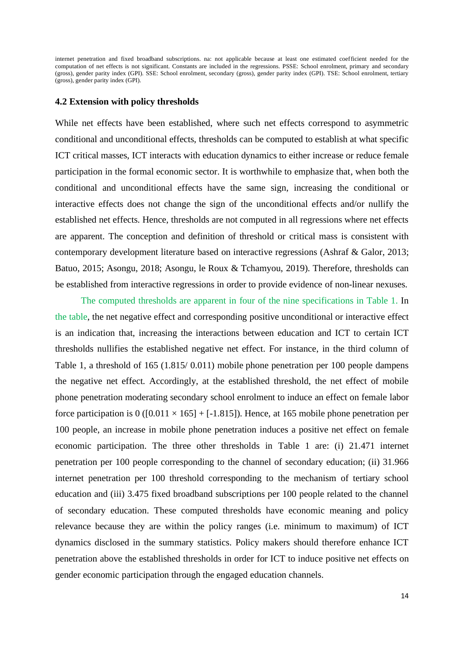internet penetration and fixed broadband subscriptions. na: not applicable because at least one estimated coefficient needed for the computation of net effects is not significant. Constants are included in the regressions. PSSE: School enrolment, primary and secondary (gross), gender parity index (GPI). SSE: School enrolment, secondary (gross), gender parity index (GPI). TSE: School enrolment, tertiary (gross), gender parity index (GPI).

#### **4.2 Extension with policy thresholds**

While net effects have been established, where such net effects correspond to asymmetric conditional and unconditional effects, thresholds can be computed to establish at what specific ICT critical masses, ICT interacts with education dynamics to either increase or reduce female participation in the formal economic sector. It is worthwhile to emphasize that, when both the conditional and unconditional effects have the same sign, increasing the conditional or interactive effects does not change the sign of the unconditional effects and/or nullify the established net effects. Hence, thresholds are not computed in all regressions where net effects are apparent. The conception and definition of threshold or critical mass is consistent with contemporary development literature based on interactive regressions (Ashraf & Galor, 2013; Batuo, 2015; Asongu, 2018; Asongu, le Roux & Tchamyou, 2019). Therefore, thresholds can be established from interactive regressions in order to provide evidence of non-linear nexuses.

 The computed thresholds are apparent in four of the nine specifications in Table 1. In the table, the net negative effect and corresponding positive unconditional or interactive effect is an indication that, increasing the interactions between education and ICT to certain ICT thresholds nullifies the established negative net effect. For instance, in the third column of Table 1, a threshold of 165 (1.815/ 0.011) mobile phone penetration per 100 people dampens the negative net effect. Accordingly, at the established threshold, the net effect of mobile phone penetration moderating secondary school enrolment to induce an effect on female labor force participation is  $0$  ([0.011  $\times$  165] + [-1.815]). Hence, at 165 mobile phone penetration per 100 people, an increase in mobile phone penetration induces a positive net effect on female economic participation. The three other thresholds in Table 1 are: (i) 21.471 internet penetration per 100 people corresponding to the channel of secondary education; (ii) 31.966 internet penetration per 100 threshold corresponding to the mechanism of tertiary school education and (iii) 3.475 fixed broadband subscriptions per 100 people related to the channel of secondary education. These computed thresholds have economic meaning and policy relevance because they are within the policy ranges (i.e. minimum to maximum) of ICT dynamics disclosed in the summary statistics. Policy makers should therefore enhance ICT penetration above the established thresholds in order for ICT to induce positive net effects on gender economic participation through the engaged education channels.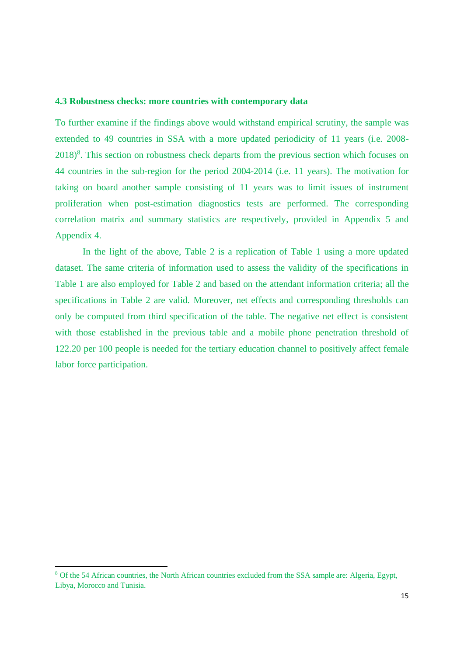#### **4.3 Robustness checks: more countries with contemporary data**

To further examine if the findings above would withstand empirical scrutiny, the sample was extended to 49 countries in SSA with a more updated periodicity of 11 years (i.e. 2008- 2018)<sup>8</sup>. This section on robustness check departs from the previous section which focuses on 44 countries in the sub-region for the period 2004-2014 (i.e. 11 years). The motivation for taking on board another sample consisting of 11 years was to limit issues of instrument proliferation when post-estimation diagnostics tests are performed. The corresponding correlation matrix and summary statistics are respectively, provided in Appendix 5 and Appendix 4.

In the light of the above, Table 2 is a replication of Table 1 using a more updated dataset. The same criteria of information used to assess the validity of the specifications in Table 1 are also employed for Table 2 and based on the attendant information criteria; all the specifications in Table 2 are valid. Moreover, net effects and corresponding thresholds can only be computed from third specification of the table. The negative net effect is consistent with those established in the previous table and a mobile phone penetration threshold of 122.20 per 100 people is needed for the tertiary education channel to positively affect female labor force participation.

<sup>8</sup> Of the 54 African countries, the North African countries excluded from the SSA sample are: Algeria, Egypt, Libya, Morocco and Tunisia.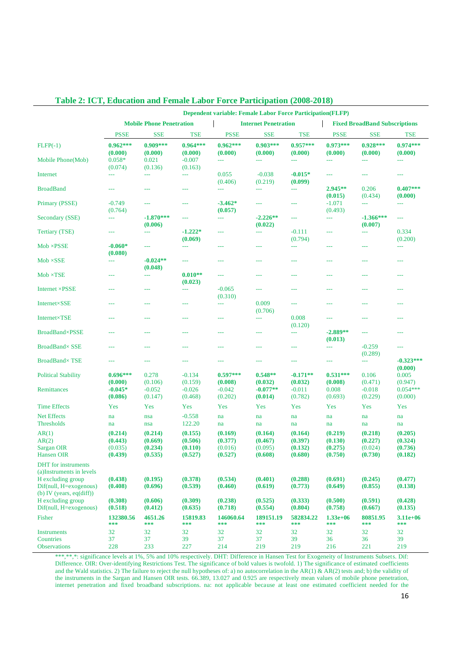| <b>Dependent variable: Female Labor Force Participation(FLFP)</b>          |                       |                                 |                       |                       |                             |                       |                                      |                        |                        |  |
|----------------------------------------------------------------------------|-----------------------|---------------------------------|-----------------------|-----------------------|-----------------------------|-----------------------|--------------------------------------|------------------------|------------------------|--|
|                                                                            |                       | <b>Mobile Phone Penetration</b> |                       |                       | <b>Internet Penetration</b> |                       | <b>Fixed BroadBand Subscriptions</b> |                        |                        |  |
|                                                                            | <b>PSSE</b>           | <b>SSE</b>                      | <b>TSE</b>            | <b>PSSE</b>           | <b>SSE</b>                  | <b>TSE</b>            | <b>PSSE</b>                          | <b>SSE</b>             | TSE                    |  |
| $FLFP(-1)$                                                                 | $0.962***$<br>(0.000) | $0.909***$<br>(0.000)           | $0.964***$<br>(0.000) | $0.962***$<br>(0.000) | $0.903***$<br>(0.000)       | $0.957***$<br>(0.000) | $0.973***$<br>(0.000)                | $0.928***$<br>(0.000)  | $0.974***$<br>(0.000)  |  |
| Mobile Phone(Mob)                                                          | $0.058*$<br>(0.074)   | 0.021<br>(0.136)                | $-0.007$<br>(0.163)   | $\scriptstyle\cdots$  | $ -$                        | ---                   | $\sim$ $\sim$                        | $-$                    | $-$                    |  |
| Internet                                                                   | $\sim$ $\sim$         | ---                             | $-$                   | 0.055<br>(0.406)      | $-0.038$<br>(0.219)         | $-0.015*$<br>(0.099)  | $\sim$ $\sim$                        | $\sim$ $\sim$          | ---                    |  |
| <b>BroadBand</b>                                                           | $-$                   | ---                             | ---                   | $\frac{1}{2}$         | $-$                         | $-$                   | $2.945**$<br>(0.015)                 | 0.206<br>(0.434)       | $0.407***$<br>(0.000)  |  |
| Primary (PSSE)                                                             | $-0.749$<br>(0.764)   | ---                             | $---$                 | $-3.462*$<br>(0.057)  | ---                         | $---$                 | $-1.071$<br>(0.493)                  | $\sim$ $\sim$          | $-$                    |  |
| Secondary (SSE)                                                            | $-$                   | $-1.870***$<br>(0.006)          | $- - -$               | $ -$                  | $-2.226**$<br>(0.022)       | ---                   | $\scriptstyle\cdots$                 | $-1.366***$<br>(0.007) | ---                    |  |
| <b>Tertiary (TSE)</b>                                                      | ---                   | ---                             | $-1.222*$<br>(0.069)  | $-$                   | $ -$                        | $-0.111$<br>(0.794)   | $-$                                  | $\scriptstyle\cdots$   | 0.334<br>(0.200)       |  |
| $Mob \times PSSE$                                                          | $-0.060*$<br>(0.080)  | ---                             | ---                   | $-$                   | ---                         | $-$                   | ---                                  | ---                    | $\frac{1}{2}$          |  |
| $Mob \times SSE$                                                           | 444                   | $-0.024**$<br>(0.048)           | ---                   | ---                   | $- - -$                     | ---                   | ---                                  | ---                    | ---                    |  |
| $Mob \times TSE$                                                           | $ -$                  | ---                             | $0.010**$<br>(0.023)  | ---                   | $- - -$                     | ---                   | $- - -$                              | ---                    | $- - -$                |  |
| Internet ×PSSE                                                             | $ -$                  | ---                             | $-$                   | $-0.065$<br>(0.310)   | $---$                       | ---                   | ---                                  | ---                    | ---                    |  |
| Internet×SSE                                                               | 444                   | ---                             | $---$                 | $-$                   | 0.009<br>(0.706)            | $-$                   | ---                                  |                        | ---                    |  |
| Internet×TSE                                                               | 444                   | ---                             | 444                   | ---                   | ---                         | 0.008<br>(0.120)      | ---                                  | ---                    | ---                    |  |
| <b>BroadBand×PSSE</b>                                                      | ---                   | ---                             | ---                   | ---                   |                             | ---                   | $-2.889**$<br>(0.013)                | ---                    | ---                    |  |
| <b>BroadBand× SSE</b>                                                      | ---                   | ---                             |                       | ---                   |                             | ---                   | $-$                                  | $-0.259$<br>(0.289)    | ---                    |  |
| <b>BroadBand×TSE</b>                                                       | ---                   | ---                             | ---                   | $-$                   | ---                         | ---                   | ---                                  | $\scriptstyle\cdots$   | $-0.323***$<br>(0.000) |  |
| <b>Political Stability</b>                                                 | $0.696***$<br>(0.000) | 0.278<br>(0.106)                | $-0.134$<br>(0.159)   | $0.597***$<br>(0.008) | $0.548**$<br>(0.032)        | $-0.171**$<br>(0.032) | $0.531***$<br>(0.008)                | 0.106<br>(0.471)       | 0.005<br>(0.947)       |  |
| <b>Remittances</b>                                                         | $-0.045*$<br>(0.086)  | $-0.052$<br>(0.147)             | $-0.026$<br>(0.468)   | $-0.042$<br>(0.202)   | $-0.077**$<br>(0.014)       | $-0.011$<br>(0.782)   | 0.008<br>(0.693)                     | $-0.018$<br>(0.229)    | $0.054***$<br>(0.000)  |  |
| <b>Time Effects</b>                                                        | Yes                   | Yes                             | Yes                   | Yes                   | Yes                         | Yes                   | Yes                                  | Yes                    | Yes                    |  |
| <b>Net Effects</b>                                                         | na                    | nsa                             | $-0.558$              | na                    | na                          | na                    | na                                   | na                     | na                     |  |
| <b>Thresholds</b>                                                          | na                    | nsa                             | 122.20                | na                    | na                          | na                    | na                                   | na                     | na                     |  |
| AR(1)                                                                      | (0.214)               | (0.214)                         | (0.155)               | (0.169)               | (0.164)                     | (0.164)               | (0.219)                              | (0.218)                | (0.205)                |  |
| AR(2)                                                                      | (0.443)               | (0.669)                         | (0.506)               | (0.377)               | (0.467)                     | (0.397)               | (0.130)                              | (0.227)                | (0.324)                |  |
| Sargan OIR                                                                 | (0.035)               | (0.234)                         | (0.110)               | (0.016)               | (0.095)                     | (0.132)               | (0.275)                              | (0.024)                | (0.736)                |  |
| <b>Hansen OIR</b>                                                          | (0.439)               | (0.535)                         | (0.527)               | (0.527)               | (0.608)                     | (0.680)               | (0.750)                              | (0.730)                | (0.182)                |  |
| <b>DHT</b> for instruments<br>(a)Instruments in levels                     |                       |                                 |                       |                       |                             |                       |                                      |                        |                        |  |
| H excluding group<br>Dif(null, H=exogenous)<br>(b) IV (years, $eq(diff)$ ) | (0.438)<br>(0.408)    | (0.195)<br>(0.696)              | (0.378)<br>(0.539)    | (0.534)<br>(0.460)    | (0.401)<br>(0.619)          | (0.288)<br>(0.773)    | (0.691)<br>(0.649)                   | (0.245)<br>(0.855)     | (0.477)<br>(0.138)     |  |
| H excluding group<br>Dif(null, H=exogenous)                                | (0.308)<br>(0.518)    | (0.606)<br>(0.412)              | (0.309)<br>(0.635)    | (0.238)<br>(0.718)    | (0.525)<br>(0.554)          | (0.333)<br>(0.804)    | (0.500)<br>(0.758)                   | (0.591)<br>(0.667)     | (0.428)<br>(0.135)     |  |
| Fisher                                                                     | 132380.56<br>$* * *$  | 4651.26<br>***                  | 15819.83<br>***       | 146060.64<br>***      | 189151.19<br>***            | 582834.22<br>$* * *$  | $1.33e+06$<br>***                    | 80851.95<br>***        | $3.11e+06$<br>***      |  |
| <b>Instruments</b>                                                         | 32                    | 32                              | 32                    | 32                    | 32                          | 32                    | 32                                   | 32                     | 32                     |  |
| Countries                                                                  | 37                    | 37                              | 39                    | 37                    | 37                          | 39                    | 36                                   | 36                     | 39                     |  |
| <b>Observations</b>                                                        | 228                   | 233                             | 227                   | 214                   | 219                         | 219                   | 216                                  | 221                    | 219                    |  |

#### **Table 2: ICT, Education and Female Labor Force Participation (2008-2018)**

\*\*\*,\*\*,\*: significance levels at 1%, 5% and 10% respectively. DHT: Difference in Hansen Test for Exogeneity of Instruments Subsets. Dif: Difference. OIR: Over-identifying Restrictions Test. The significance of bold values is twofold. 1) The significance of estimated coefficients and the Wald statistics. 2) The failure to reject the null hypotheses of: a) no autocorrelation in the AR(1)  $\&$  AR(2) tests and; b) the validity of the instruments in the Sargan and Hansen OIR tests. 66.389, 13.027 and 0.925 are respectively mean values of mobile phone penetration, internet penetration and fixed broadband subscriptions. na: not applicable because at least one estimated coefficient needed for the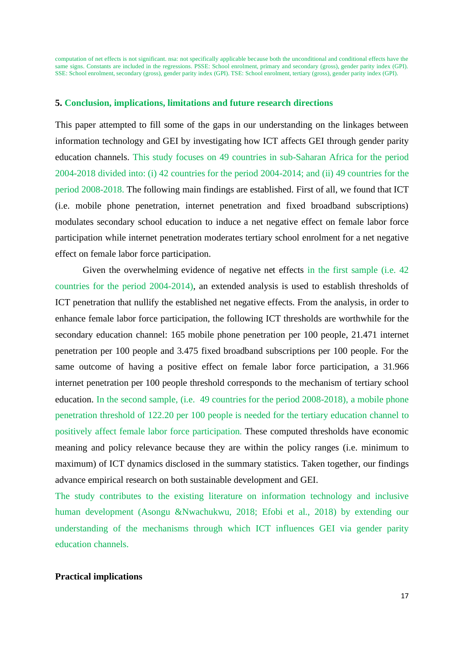computation of net effects is not significant. nsa: not specifically applicable because both the unconditional and conditional effects have the same signs. Constants are included in the regressions. PSSE: School enrolment, primary and secondary (gross), gender parity index (GPI). SSE: School enrolment, secondary (gross), gender parity index (GPI). TSE: School enrolment, tertiary (gross), gender parity index (GPI).

#### **5. Conclusion, implications, limitations and future research directions**

This paper attempted to fill some of the gaps in our understanding on the linkages between information technology and GEI by investigating how ICT affects GEI through gender parity education channels. This study focuses on 49 countries in sub-Saharan Africa for the period 2004-2018 divided into: (i) 42 countries for the period 2004-2014; and (ii) 49 countries for the period 2008-2018. The following main findings are established. First of all, we found that ICT (i.e. mobile phone penetration, internet penetration and fixed broadband subscriptions) modulates secondary school education to induce a net negative effect on female labor force participation while internet penetration moderates tertiary school enrolment for a net negative effect on female labor force participation.

Given the overwhelming evidence of negative net effects in the first sample (i.e. 42 countries for the period 2004-2014), an extended analysis is used to establish thresholds of ICT penetration that nullify the established net negative effects. From the analysis, in order to enhance female labor force participation, the following ICT thresholds are worthwhile for the secondary education channel: 165 mobile phone penetration per 100 people, 21.471 internet penetration per 100 people and 3.475 fixed broadband subscriptions per 100 people. For the same outcome of having a positive effect on female labor force participation, a 31.966 internet penetration per 100 people threshold corresponds to the mechanism of tertiary school education. In the second sample, (i.e. 49 countries for the period 2008-2018), a mobile phone penetration threshold of 122.20 per 100 people is needed for the tertiary education channel to positively affect female labor force participation. These computed thresholds have economic meaning and policy relevance because they are within the policy ranges (i.e. minimum to maximum) of ICT dynamics disclosed in the summary statistics. Taken together, our findings advance empirical research on both sustainable development and GEI.

The study contributes to the existing literature on information technology and inclusive human development (Asongu &Nwachukwu, 2018; Efobi et al., 2018) by extending our understanding of the mechanisms through which ICT influences GEI via gender parity education channels.

#### **Practical implications**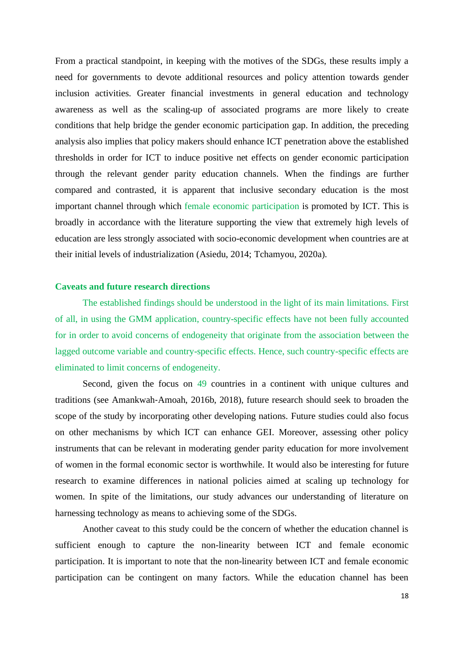From a practical standpoint, in keeping with the motives of the SDGs, these results imply a need for governments to devote additional resources and policy attention towards gender inclusion activities. Greater financial investments in general education and technology awareness as well as the scaling-up of associated programs are more likely to create conditions that help bridge the gender economic participation gap. In addition, the preceding analysis also implies that policy makers should enhance ICT penetration above the established thresholds in order for ICT to induce positive net effects on gender economic participation through the relevant gender parity education channels. When the findings are further compared and contrasted, it is apparent that inclusive secondary education is the most important channel through which female economic participation is promoted by ICT. This is broadly in accordance with the literature supporting the view that extremely high levels of education are less strongly associated with socio-economic development when countries are at their initial levels of industrialization (Asiedu, 2014; Tchamyou, 2020a).

#### **Caveats and future research directions**

The established findings should be understood in the light of its main limitations. First of all, in using the GMM application, country-specific effects have not been fully accounted for in order to avoid concerns of endogeneity that originate from the association between the lagged outcome variable and country-specific effects. Hence, such country-specific effects are eliminated to limit concerns of endogeneity.

Second, given the focus on 49 countries in a continent with unique cultures and traditions (see Amankwah‐Amoah, 2016b, 2018), future research should seek to broaden the scope of the study by incorporating other developing nations. Future studies could also focus on other mechanisms by which ICT can enhance GEI. Moreover, assessing other policy instruments that can be relevant in moderating gender parity education for more involvement of women in the formal economic sector is worthwhile. It would also be interesting for future research to examine differences in national policies aimed at scaling up technology for women. In spite of the limitations, our study advances our understanding of literature on harnessing technology as means to achieving some of the SDGs.

Another caveat to this study could be the concern of whether the education channel is sufficient enough to capture the non-linearity between ICT and female economic participation. It is important to note that the non-linearity between ICT and female economic participation can be contingent on many factors. While the education channel has been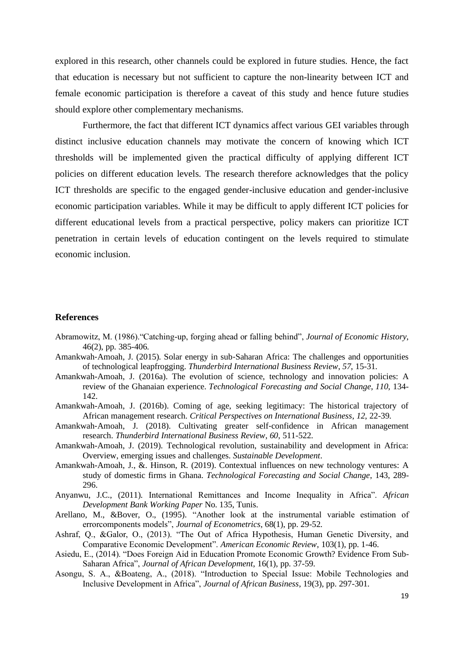explored in this research, other channels could be explored in future studies. Hence, the fact that education is necessary but not sufficient to capture the non-linearity between ICT and female economic participation is therefore a caveat of this study and hence future studies should explore other complementary mechanisms.

Furthermore, the fact that different ICT dynamics affect various GEI variables through distinct inclusive education channels may motivate the concern of knowing which ICT thresholds will be implemented given the practical difficulty of applying different ICT policies on different education levels. The research therefore acknowledges that the policy ICT thresholds are specific to the engaged gender-inclusive education and gender-inclusive economic participation variables. While it may be difficult to apply different ICT policies for different educational levels from a practical perspective, policy makers can prioritize ICT penetration in certain levels of education contingent on the levels required to stimulate economic inclusion.

#### **References**

- Abramowitz, M. (1986)."Catching-up, forging ahead or falling behind", *Journal of Economic History*, 46(2), pp. 385-406.
- Amankwah-Amoah, J. (2015). Solar energy in sub‐Saharan Africa: The challenges and opportunities of technological leapfrogging. *Thunderbird International Business Review*, *57*, 15-31.
- Amankwah-Amoah, J. (2016a). The evolution of science, technology and innovation policies: A review of the Ghanaian experience. *Technological Forecasting and Social Change*, *110*, 134- 142.
- Amankwah-Amoah, J. (2016b). Coming of age, seeking legitimacy: The historical trajectory of African management research. *Critical Perspectives on International Business*, *12*, 22-39.
- Amankwah‐Amoah, J. (2018). Cultivating greater self‐confidence in African management research. *Thunderbird International Business Review*, *60*, 511-522.
- Amankwah-Amoah, J. (2019). Technological revolution, sustainability and development in Africa: Overview, emerging issues and challenges. *Sustainable Development*.
- Amankwah-Amoah, J., &. Hinson, R. (2019). Contextual influences on new technology ventures: A study of domestic firms in Ghana. *Technological Forecasting and Social Change*, 143, 289- 296.
- Anyanwu, J.C., (2011). International Remittances and Income Inequality in Africa". *African Development Bank Working Paper* No. 135, Tunis.
- Arellano, M., &Bover, O., (1995). "Another look at the instrumental variable estimation of errorcomponents models", *Journal of Econometrics*, 68(1), pp. 29-52.
- Ashraf, Q., &Galor, O., (2013). "The Out of Africa Hypothesis, Human Genetic Diversity, and Comparative Economic Development". *American Economic Review*, 103(1), pp. 1-46.
- Asiedu, E., (2014). "Does Foreign Aid in Education Promote Economic Growth? Evidence From Sub-Saharan Africa", *Journal of African Development*, 16(1), pp. 37-59.
- Asongu, S. A., &Boateng, A., (2018). "Introduction to Special Issue: Mobile Technologies and Inclusive Development in Africa", *Journal of African Business*, 19(3), pp. 297-301.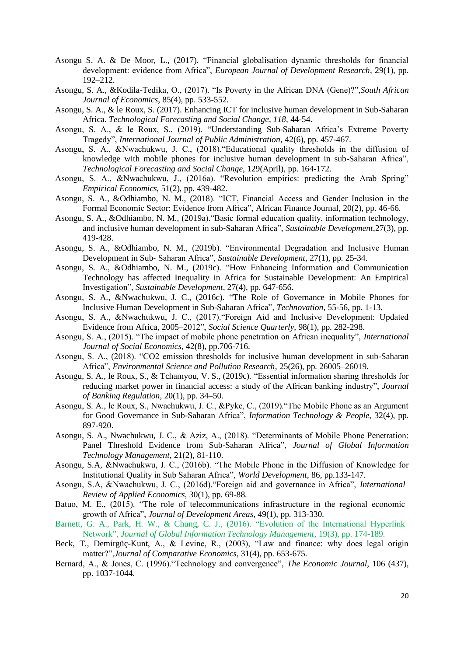- Asongu S. A. & De Moor, L., (2017). "Financial globalisation dynamic thresholds for financial development: evidence from Africa", *European Journal of Development Research*, 29(1), pp. 192–212.
- Asongu, S. A., &Kodila-Tedika, O., (2017). "Is Poverty in the African DNA (Gene)?",*South African Journal of Economics*, 85(4), pp. 533-552.
- Asongu, S. A., & le Roux, S. (2017). Enhancing ICT for inclusive human development in Sub-Saharan Africa. *Technological Forecasting and Social Change*, *118*, 44-54.
- Asongu, S. A., & le Roux, S., (2019). "Understanding Sub-Saharan Africa's Extreme Poverty Tragedy", *International Journal of Public Administration*, 42(6), pp. 457-467.
- Asongu, S. A., &Nwachukwu, J. C., (2018)."Educational quality thresholds in the diffusion of knowledge with mobile phones for inclusive human development in sub-Saharan Africa", *Technological Forecasting and Social Change*, 129(April), pp. 164-172.
- Asongu, S. A., &Nwachukwu, J., (2016a). "Revolution empirics: predicting the Arab Spring" *Empirical Economics*, 51(2), pp. 439-482.
- Asongu, S. A., &Odhiambo, N. M., (2018). "ICT, Financial Access and Gender Inclusion in the Formal Economic Sector: Evidence from Africa", African Finance Journal, 20(2), pp. 46-66.
- Asongu, S. A., &Odhiambo, N. M., (2019a)."Basic formal education quality, information technology, and inclusive human development in sub‐Saharan Africa", *Sustainable Development*,27(3), pp. 419-428.
- Asongu, S. A., &Odhiambo, N. M., (2019b). "Environmental Degradation and Inclusive Human Development in Sub‐ Saharan Africa", *Sustainable Development*, 27(1), pp. 25-34.
- Asongu, S. A., &Odhiambo, N. M., (2019c). "How Enhancing Information and Communication Technology has affected Inequality in Africa for Sustainable Development: An Empirical Investigation", *Sustainable Development*, 27(4), pp. 647-656.
- Asongu, S. A., &Nwachukwu, J. C., (2016c). "The Role of Governance in Mobile Phones for Inclusive Human Development in Sub-Saharan Africa", *Technovation*, 55-56, pp. 1-13.
- Asongu, S. A., &Nwachukwu, J. C., (2017)."Foreign Aid and Inclusive Development: Updated Evidence from Africa, 2005–2012", *Social Science Quarterly*, 98(1), pp. 282-298.
- Asongu, S. A., (2015). "The impact of mobile phone penetration on African inequality", *International Journal of Social Economics*, 42(8), pp.706-716.
- Asongu, S. A., (2018). "CO2 emission thresholds for inclusive human development in sub-Saharan Africa", *Environmental Science and Pollution Research*, 25(26), pp. 26005–26019.
- Asongu, S. A., le Roux, S., & Tchamyou, V. S., (2019c). "Essential information sharing thresholds for reducing market power in financial access: a study of the African banking industry", *Journal of Banking Regulation*, 20(1), pp. 34–50.
- Asongu, S. A., le Roux, S., Nwachukwu, J. C., &Pyke, C., (2019)."The Mobile Phone as an Argument for Good Governance in Sub-Saharan Africa", *Information Technology & People*, 32(4), pp. 897-920.
- Asongu, S. A., Nwachukwu, J. C., & Aziz, A., (2018). "Determinants of Mobile Phone Penetration: Panel Threshold Evidence from Sub-Saharan Africa", *Journal of Global Information Technology Management*, 21(2), 81-110.
- Asongu, S.A, &Nwachukwu, J. C., (2016b). "The Mobile Phone in the Diffusion of Knowledge for Institutional Quality in Sub Saharan Africa", *World Development*, 86, pp.133-147.
- Asongu, S.A, &Nwachukwu, J. C., (2016d)."Foreign aid and governance in Africa", *International Review of Applied Economics*, 30(1), pp. 69-88.
- Batuo, M. E., (2015). "The role of telecommunications infrastructure in the regional economic growth of Africa", *Journal of Development Areas*, 49(1), pp. 313-330.
- Barnett, G. A., Park, H. W., & Chung, C. J., (2016). "Evolution of the International Hyperlink Network", *Journal of Global Information Technology Management*, 19(3), pp. 174-189.
- Beck, T., Demirgüç-Kunt, A., & Levine, R., (2003), "Law and finance: why does legal origin matter?",*Journal of Comparative Economics*, 31(4), pp. 653-675.
- Bernard, A., & Jones, C. (1996)."Technology and convergence", *The Economic Journal*, 106 (437), pp. 1037-1044.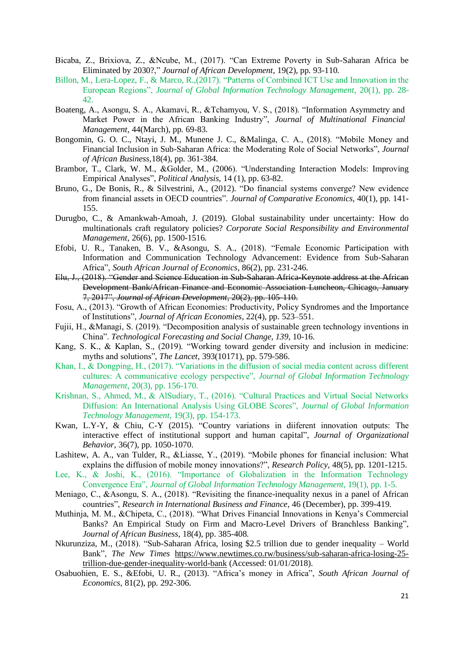- Bicaba, Z., Brixiova, Z., &Ncube, M., (2017). "Can Extreme Poverty in Sub-Saharan Africa be Eliminated by 2030?," *Journal of African Development*, 19(2), pp. 93-110.
- Billon, M., Lera-Lopez, F., & Marco, R.,(2017). "Patterns of Combined ICT Use and Innovation in the European Regions", *Journal of Global Information Technology Management*, 20(1), pp. 28- 42.
- Boateng, A., Asongu, S. A., Akamavi, R., &Tchamyou, V. S., (2018). "Information Asymmetry and Market Power in the African Banking Industry", *Journal of Multinational Financial Management,* 44(March), pp. 69-83.
- Bongomin, G. O. C., Ntayi, J. M., Munene J. C., &Malinga, C. A., (2018). "Mobile Money and Financial Inclusion in Sub-Saharan Africa: the Moderating Role of Social Networks", *Journal of African Business,*18(4), pp. 361-384.
- Brambor, T., Clark, W. M., &Golder, M., (2006). "Understanding Interaction Models: Improving Empirical Analyses", *Political Analysis*, 14 (1), pp. 63-82.
- Bruno, G., De Bonis, R., & Silvestrini, A., (2012). "Do financial systems converge? New evidence from financial assets in OECD countries". *Journal of Comparative Economics*, 40(1), pp. 141- 155.
- Durugbo, C., & Amankwah‐Amoah, J. (2019). Global sustainability under uncertainty: How do multinationals craft regulatory policies? *Corporate Social Responsibility and Environmental Management*, 26(6), pp. 1500-1516.
- Efobi, U. R., Tanaken, B. V., &Asongu, S. A., (2018). "Female Economic Participation with Information and Communication Technology Advancement: Evidence from Sub-Saharan Africa", *South African Journal of Economics*, 86(2), pp. 231-246.
- Elu, J., (2018). "Gender and Science Education in Sub-Saharan Africa-Keynote address at the African Development Bank/African Finance and Economic Association Luncheon, Chicago, January 7, 2017", *Journal of African Development*, 20(2), pp. 105-110.
- Fosu, A., (2013). "Growth of African Economies: Productivity, Policy Syndromes and the Importance of Institutions", *Journal of African Economies*, 22(4), pp. 523–551.
- Fujii, H., &Managi, S. (2019). "Decomposition analysis of sustainable green technology inventions in China". *Technological Forecasting and Social Change*, *139*, 10-16.
- Kang, S. K., & Kaplan, S., (2019). "Working toward gender diversity and inclusion in medicine: myths and solutions", *The Lancet*, 393(10171), pp. 579-586.
- Khan, I., & Dongping, H., (2017). "Variations in the diffusion of social media content across different cultures: A communicative ecology perspective", *Journal of Global Information Technology Management*, 20(3), pp. 156-170.
- Krishnan, S., Ahmed, M., & AlSudiary, T., (2016). "Cultural Practices and Virtual Social Networks Diffusion: An International Analysis Using GLOBE Scores", *Journal of Global Information Technology Management*, 19(3), pp. 154-173.
- Kwan, L.Y-Y, & Chiu, C-Y (2015). "Country variations in diiferent innovation outputs: The interactive effect of institutional support and human capital", *Journal of Organizational Behavior*, 36(7), pp. 1050-1070.
- Lashitew, A. A., van Tulder, R., &Liasse, Y., (2019). "Mobile phones for financial inclusion: What explains the diffusion of mobile money innovations?", *Research Policy*, 48(5), pp. 1201-1215.
- Lee, K., & Joshi, K., (2016). "Importance of Globalization in the Information Technology Convergence Era", *Journal of Global Information Technology Management*, 19(1), pp. 1-5.
- Meniago, C., &Asongu, S. A., (2018). "Revisiting the finance-inequality nexus in a panel of African countries", *Research in International Business and Finance*, 46 (December), pp. 399-419.
- Muthinja, M. M., &Chipeta, C., (2018). "What Drives Financial Innovations in Kenya's Commercial Banks? An Empirical Study on Firm and Macro-Level Drivers of Branchless Banking", *Journal of African Business*, 18(4), pp. 385-408.
- Nkurunziza, M., (2018). "Sub-Saharan Africa, losing \$2.5 trillion due to gender inequality World Bank", *The New Times* [https://www.newtimes.co.rw/business/sub-saharan-africa-losing-25](https://www.newtimes.co.rw/business/sub-saharan-africa-losing-25-trillion-due-gender-inequality-world-bank) [trillion-due-gender-inequality-world-bank](https://www.newtimes.co.rw/business/sub-saharan-africa-losing-25-trillion-due-gender-inequality-world-bank) (Accessed: 01/01/2018).
- Osabuohien, E. S., &Efobi, U. R., (2013). "Africa's money in Africa", *South African Journal of Economics*, 81(2), pp. 292-306.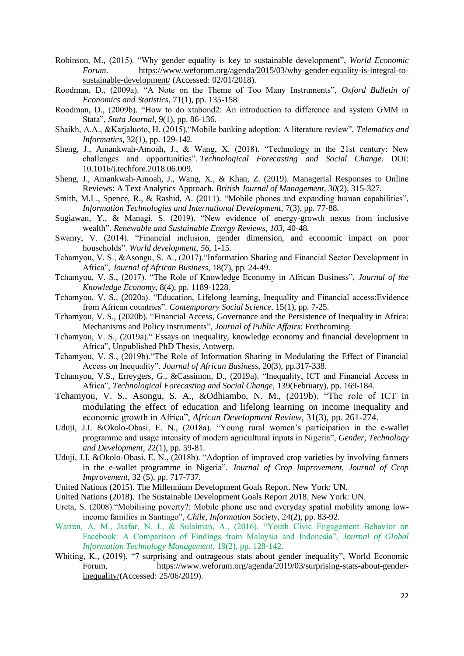- Robinson, M., (2015). "Why gender equality is key to sustainable development", *World Economic Forum*. [https://www.weforum.org/agenda/2015/03/why-gender-equality-is-integral-to](https://www.weforum.org/agenda/2015/03/why-gender-equality-is-integral-to-sustainable-development/)[sustainable-development/](https://www.weforum.org/agenda/2015/03/why-gender-equality-is-integral-to-sustainable-development/) (Accessed: 02/01/2018).
- Roodman, D., (2009a). "A Note on the Theme of Too Many Instruments", *Oxford Bulletin of Economics and Statistics*, 71(1), pp. 135-158.
- Roodman, D., (2009b). "How to do xtabond2: An introduction to difference and system GMM in Stata", *Stata Journal*, 9(1), pp. 86-136.
- Shaikh, A.A., &Karjaluoto, H. (2015)."Mobile banking adoption: A literature review", *Telematics and Informatics*, 32(1), pp. 129-142.
- Sheng, J., Amankwah-Amoah, J., & Wang, X. (2018). "Technology in the 21st century: New challenges and opportunities". *Technological Forecasting and Social Change*. DOI: 10.1016/j.techfore.2018.06.009.
- Sheng, J., Amankwah‐Amoah, J., Wang, X., & Khan, Z. (2019). Managerial Responses to Online Reviews: A Text Analytics Approach. *British Journal of Management*, *30*(2), 315-327.
- Smith, M.L., Spence, R., & Rashid, A. (2011). "Mobile phones and expanding human capabilities", *Information Technologies and International Development*, 7(3), pp. 77-88.
- Sugiawan, Y., & Managi, S. (2019). "New evidence of energy-growth nexus from inclusive wealth". *Renewable and Sustainable Energy Reviews*, *103*, 40-48.
- Swamy, V. (2014). "Financial inclusion, gender dimension, and economic impact on poor households". *World development*, *56*, 1-15.
- Tchamyou, V. S., &Asongu, S. A., (2017)."Information Sharing and Financial Sector Development in Africa", *Journal of African Business*, 18(7), pp. 24-49.
- Tchamyou, V. S., (2017). "The Role of Knowledge Economy in African Business", *Journal of the Knowledge Economy*, 8(4), pp. 1189-1228.
- Tchamyou, V. S., (2020a). "Education, Lifelong learning, Inequality and Financial access:Evidence from African countries". *Contemporary Social Science*. 15(1), pp. 7-25.
- Tchamyou, V. S., (2020b). "Financial Access, Governance and the Persistence of Inequality in Africa: Mechanisms and Policy instruments", *Journal of Public Affairs*: Forthcoming.
- Tchamyou, V. S., (2019a)." Essays on inequality, knowledge economy and financial development in Africa", Unpublished PhD Thesis, Antwerp.
- Tchamyou, V. S., (2019b)."The Role of Information Sharing in Modulating the Effect of Financial Access on Inequality". *Journal of African Business*, 20(3), pp.317-338.
- Tchamyou, V.S., Erreygers, G., &Cassimon, D., (2019a). "Inequality, ICT and Financial Access in Africa", *Technological Forecasting and Social Change*, 139(February), pp. 169-184.
- Tchamyou, V. S., Asongu, S. A., &Odhiambo, N. M., (2019b). "The role of ICT in modulating the effect of education and lifelong learning on income inequality and economic growth in Africa", *African Development Review*, 31(3), pp. 261-274.
- Uduji, J.I. &Okolo-Obasi, E. N., (2018a). "Young rural women's participation in the e-wallet programme and usage intensity of modern agricultural inputs in Nigeria", *Gender, Technology and Development*, 22(1), pp. 59-81.
- Uduji, J.I. &Okolo-Obasi, E. N., (2018b). "Adoption of improved crop varieties by involving farmers in the e-wallet programme in Nigeria". *Journal of Crop Improvement, Journal of Crop Improvement*, 32 (5), pp. 717-737.
- United Nations (2015). The Millennium Development Goals Report. New York: UN.
- United Nations (2018). The Sustainable Development Goals Report 2018. New York: UN.
- Ureta, S. (2008)."Mobilising poverty?: Mobile phone use and everyday spatial mobility among lowincome families in Santiago", *Chile, Information Society*, 24(2), pp. 83-92.
- Warren, A. M., Jaafar, N. I., & Sulaiman, A., (2016). "Youth Civic Engagement Behavior on Facebook: A Comparison of Findings from Malaysia and Indonesia", *Journal of Global Information Technology Management*, 19(2), pp. 128-142.
- Whiting, K., (2019). "7 surprising and outrageous stats about gender inequality", World Economic Forum, [https://www.weforum.org/agenda/2019/03/surprising-stats-about-gender](https://www.weforum.org/agenda/2019/03/surprising-stats-about-gender-inequality/)[inequality/\(](https://www.weforum.org/agenda/2019/03/surprising-stats-about-gender-inequality/)Accessed: 25/06/2019).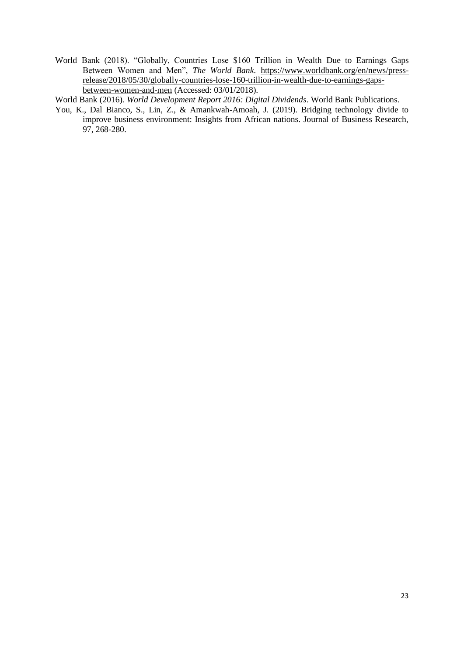World Bank (2018). "Globally, Countries Lose \$160 Trillion in Wealth Due to Earnings Gaps Between Women and Men", *The World Bank*. [https://www.worldbank.org/en/news/press](https://www.worldbank.org/en/news/press-release/2018/05/30/globally-countries-lose-160-trillion-in-wealth-due-to-earnings-gaps-between-women-and-men)[release/2018/05/30/globally-countries-lose-160-trillion-in-wealth-due-to-earnings-gaps](https://www.worldbank.org/en/news/press-release/2018/05/30/globally-countries-lose-160-trillion-in-wealth-due-to-earnings-gaps-between-women-and-men)[between-women-and-men](https://www.worldbank.org/en/news/press-release/2018/05/30/globally-countries-lose-160-trillion-in-wealth-due-to-earnings-gaps-between-women-and-men) (Accessed: 03/01/2018).

World Bank (2016). *World Development Report 2016: Digital Dividends*. World Bank Publications.

You, K., Dal Bianco, S., Lin, Z., & Amankwah-Amoah, J. (2019). Bridging technology divide to improve business environment: Insights from African nations. Journal of Business Research, 97, 268-280.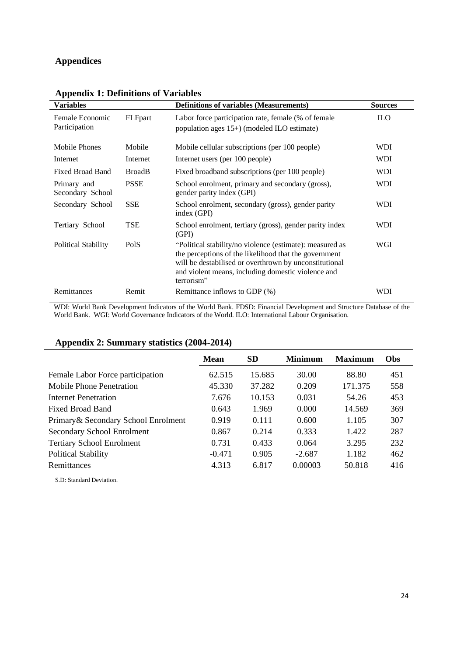#### **Appendices**

| <b>Variables</b>                 |               | <b>Definitions of variables (Measurements)</b>                                                                                                                                                                                                  | <b>Sources</b> |
|----------------------------------|---------------|-------------------------------------------------------------------------------------------------------------------------------------------------------------------------------------------------------------------------------------------------|----------------|
| Female Economic<br>Participation | FLFpart       | Labor force participation rate, female (% of female<br>population ages $15+$ ) (modeled ILO estimate)                                                                                                                                           | <b>ILO</b>     |
| Mobile Phones                    | Mobile        | Mobile cellular subscriptions (per 100 people)                                                                                                                                                                                                  | <b>WDI</b>     |
| Internet                         | Internet      | Internet users (per 100 people)                                                                                                                                                                                                                 | <b>WDI</b>     |
| Fixed Broad Band                 | <b>BroadB</b> | Fixed broadband subscriptions (per 100 people)                                                                                                                                                                                                  | <b>WDI</b>     |
| Primary and<br>Secondary School  | <b>PSSE</b>   | School enrolment, primary and secondary (gross),<br>gender parity index (GPI)                                                                                                                                                                   | <b>WDI</b>     |
| Secondary School                 | <b>SSE</b>    | School enrolment, secondary (gross), gender parity<br>index (GPI)                                                                                                                                                                               | <b>WDI</b>     |
| Tertiary School                  | <b>TSE</b>    | School enrolment, tertiary (gross), gender parity index<br>(GPI)                                                                                                                                                                                | WDI            |
| <b>Political Stability</b>       | PolS          | "Political stability/no violence (estimate): measured as<br>the perceptions of the likelihood that the government<br>will be destabilised or overthrown by unconstitutional<br>and violent means, including domestic violence and<br>terrorism" | WGI            |
| Remittances                      | Remit         | Remittance inflows to GDP (%)                                                                                                                                                                                                                   | WDI            |

#### **Appendix 1: Definitions of Variables**

WDI: World Bank Development Indicators of the World Bank. FDSD: Financial Development and Structure Database of the World Bank. WGI: World Governance Indicators of the World. ILO: International Labour Organisation.

#### **Appendix 2: Summary statistics (2004-2014)**

|                                      | <b>Mean</b> | <b>SD</b> | Minimum  | <b>Maximum</b> | <b>Obs</b> |
|--------------------------------------|-------------|-----------|----------|----------------|------------|
| Female Labor Force participation     | 62.515      | 15.685    | 30.00    | 88.80          | 451        |
| Mobile Phone Penetration             | 45.330      | 37.282    | 0.209    | 171.375        | 558        |
| Internet Penetration                 | 7.676       | 10.153    | 0.031    | 54.26          | 453        |
| Fixed Broad Band                     | 0.643       | 1.969     | 0.000    | 14.569         | 369        |
| Primary & Secondary School Enrolment | 0.919       | 0.111     | 0.600    | 1.105          | 307        |
| Secondary School Enrolment           | 0.867       | 0.214     | 0.333    | 1.422          | 287        |
| <b>Tertiary School Enrolment</b>     | 0.731       | 0.433     | 0.064    | 3.295          | 232        |
| <b>Political Stability</b>           | $-0.471$    | 0.905     | $-2.687$ | 1.182          | 462        |
| Remittances                          | 4.313       | 6.817     | 0.00003  | 50.818         | 416        |

S.D: Standard Deviation.